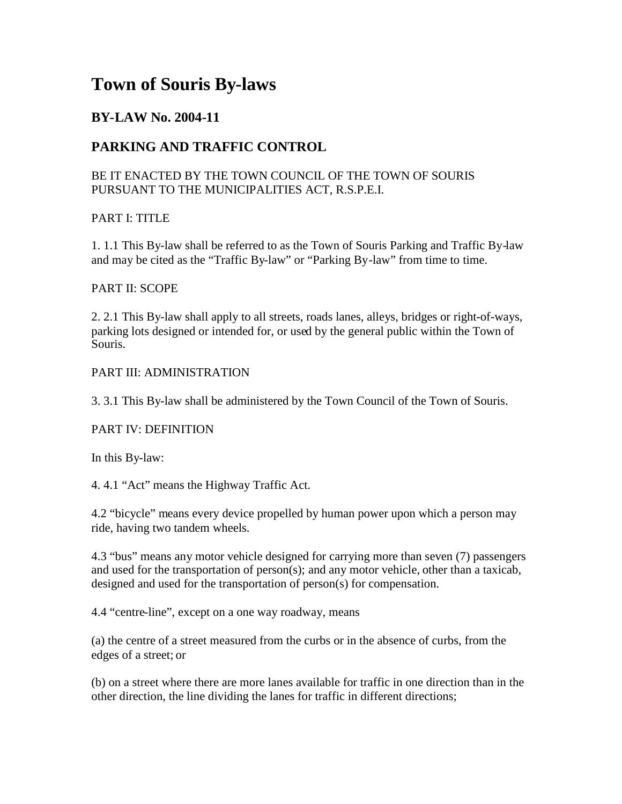# **Town of Souris By-laws**

# **BY-LAW No. 2004-11**

# **PARKING AND TRAFFIC CONTROL**

## BE IT ENACTED BY THE TOWN COUNCIL OF THE TOWN OF SOURIS PURSUANT TO THE MUNICIPALITIES ACT, R.S.P.E.I.

## PART I: TITLE

1. 1.1 This By-law shall be referred to as the Town of Souris Parking and Traffic By-law and may be cited as the "Traffic By-law" or "Parking By-law" from time to time.

#### PART II: SCOPE

2. 2.1 This By-law shall apply to all streets, roads lanes, alleys, bridges or right-of-ways, parking lots designed or intended for, or used by the general public within the Town of Souris.

#### PART III: ADMINISTRATION

3. 3.1 This By-law shall be administered by the Town Council of the Town of Souris.

## PART IV: DEFINITION

In this By-law:

4. 4.1 "Act" means the Highway Traffic Act.

4.2 "bicycle" means every device propelled by human power upon which a person may ride, having two tandem wheels.

4.3 "bus" means any motor vehicle designed for carrying more than seven (7) passengers and used for the transportation of person(s); and any motor vehicle, other than a taxicab, designed and used for the transportation of person(s) for compensation.

4.4 "centre-line", except on a one way roadway, means

(a) the centre of a street measured from the curbs or in the absence of curbs, from the edges of a street; or

(b) on a street where there are more lanes available for traffic in one direction than in the other direction, the line dividing the lanes for traffic in different directions;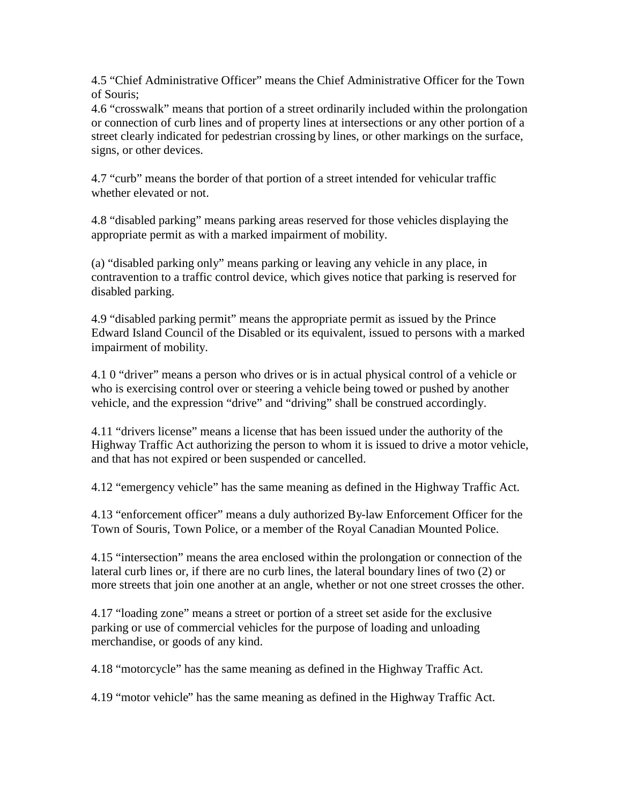4.5 "Chief Administrative Officer" means the Chief Administrative Officer for the Town of Souris;

4.6 "crosswalk" means that portion of a street ordinarily included within the prolongation or connection of curb lines and of property lines at intersections or any other portion of a street clearly indicated for pedestrian crossing by lines, or other markings on the surface, signs, or other devices.

4.7 "curb" means the border of that portion of a street intended for vehicular traffic whether elevated or not.

4.8 "disabled parking" means parking areas reserved for those vehicles displaying the appropriate permit as with a marked impairment of mobility.

(a) "disabled parking only" means parking or leaving any vehicle in any place, in contravention to a traffic control device, which gives notice that parking is reserved for disabled parking.

4.9 "disabled parking permit" means the appropriate permit as issued by the Prince Edward Island Council of the Disabled or its equivalent, issued to persons with a marked impairment of mobility.

4.1 0 "driver" means a person who drives or is in actual physical control of a vehicle or who is exercising control over or steering a vehicle being towed or pushed by another vehicle, and the expression "drive" and "driving" shall be construed accordingly.

4.11 "drivers license" means a license that has been issued under the authority of the Highway Traffic Act authorizing the person to whom it is issued to drive a motor vehicle, and that has not expired or been suspended or cancelled.

4.12 "emergency vehicle" has the same meaning as defined in the Highway Traffic Act.

4.13 "enforcement officer" means a duly authorized By-law Enforcement Officer for the Town of Souris, Town Police, or a member of the Royal Canadian Mounted Police.

4.15 "intersection" means the area enclosed within the prolongation or connection of the lateral curb lines or, if there are no curb lines, the lateral boundary lines of two (2) or more streets that join one another at an angle, whether or not one street crosses the other.

4.17 "loading zone" means a street or portion of a street set aside for the exclusive parking or use of commercial vehicles for the purpose of loading and unloading merchandise, or goods of any kind.

4.18 "motorcycle" has the same meaning as defined in the Highway Traffic Act.

4.19 "motor vehicle" has the same meaning as defined in the Highway Traffic Act.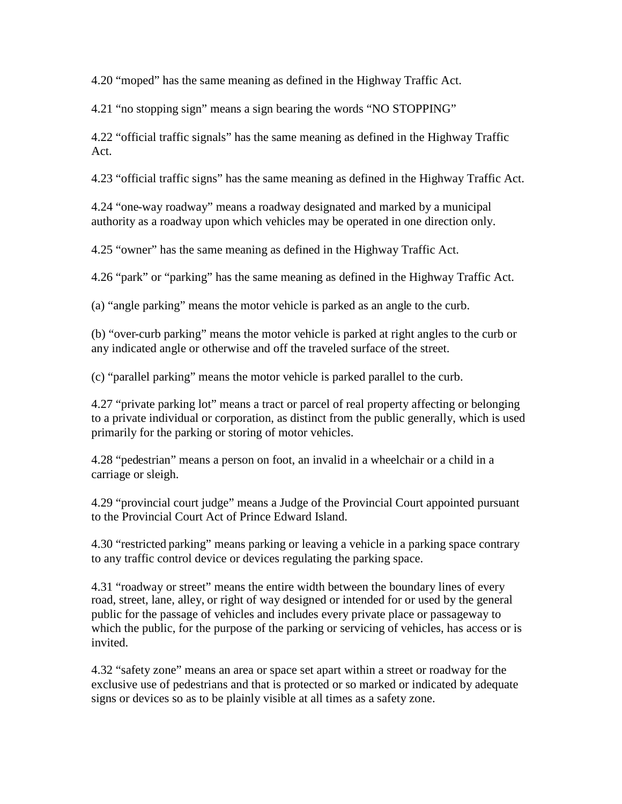4.20 "moped" has the same meaning as defined in the Highway Traffic Act.

4.21 "no stopping sign" means a sign bearing the words "NO STOPPING"

4.22 "official traffic signals" has the same meaning as defined in the Highway Traffic Act.

4.23 "official traffic signs" has the same meaning as defined in the Highway Traffic Act.

4.24 "one-way roadway" means a roadway designated and marked by a municipal authority as a roadway upon which vehicles may be operated in one direction only.

4.25 "owner" has the same meaning as defined in the Highway Traffic Act.

4.26 "park" or "parking" has the same meaning as defined in the Highway Traffic Act.

(a) "angle parking" means the motor vehicle is parked as an angle to the curb.

(b) "over-curb parking" means the motor vehicle is parked at right angles to the curb or any indicated angle or otherwise and off the traveled surface of the street.

(c) "parallel parking" means the motor vehicle is parked parallel to the curb.

4.27 "private parking lot" means a tract or parcel of real property affecting or belonging to a private individual or corporation, as distinct from the public generally, which is used primarily for the parking or storing of motor vehicles.

4.28 "pedestrian" means a person on foot, an invalid in a wheelchair or a child in a carriage or sleigh.

4.29 "provincial court judge" means a Judge of the Provincial Court appointed pursuant to the Provincial Court Act of Prince Edward Island.

4.30 "restricted parking" means parking or leaving a vehicle in a parking space contrary to any traffic control device or devices regulating the parking space.

4.31 "roadway or street" means the entire width between the boundary lines of every road, street, lane, alley, or right of way designed or intended for or used by the general public for the passage of vehicles and includes every private place or passageway to which the public, for the purpose of the parking or servicing of vehicles, has access or is invited.

4.32 "safety zone" means an area or space set apart within a street or roadway for the exclusive use of pedestrians and that is protected or so marked or indicated by adequate signs or devices so as to be plainly visible at all times as a safety zone.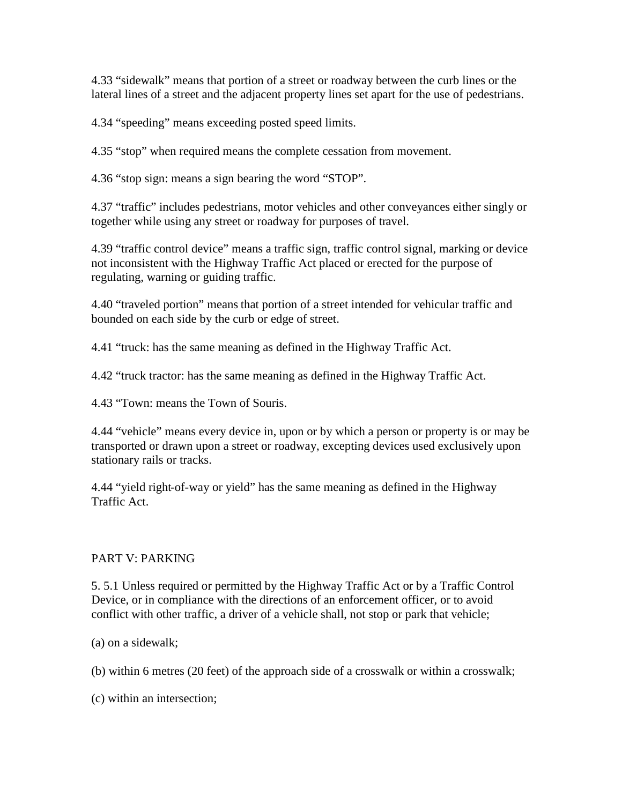4.33 "sidewalk" means that portion of a street or roadway between the curb lines or the lateral lines of a street and the adjacent property lines set apart for the use of pedestrians.

4.34 "speeding" means exceeding posted speed limits.

4.35 "stop" when required means the complete cessation from movement.

4.36 "stop sign: means a sign bearing the word "STOP".

4.37 "traffic" includes pedestrians, motor vehicles and other conveyances either singly or together while using any street or roadway for purposes of travel.

4.39 "traffic control device" means a traffic sign, traffic control signal, marking or device not inconsistent with the Highway Traffic Act placed or erected for the purpose of regulating, warning or guiding traffic.

4.40 "traveled portion" means that portion of a street intended for vehicular traffic and bounded on each side by the curb or edge of street.

4.41 "truck: has the same meaning as defined in the Highway Traffic Act.

4.42 "truck tractor: has the same meaning as defined in the Highway Traffic Act.

4.43 "Town: means the Town of Souris.

4.44 "vehicle" means every device in, upon or by which a person or property is or may be transported or drawn upon a street or roadway, excepting devices used exclusively upon stationary rails or tracks.

4.44 "yield right-of-way or yield" has the same meaning as defined in the Highway Traffic Act.

# PART V: PARKING

5. 5.1 Unless required or permitted by the Highway Traffic Act or by a Traffic Control Device, or in compliance with the directions of an enforcement officer, or to avoid conflict with other traffic, a driver of a vehicle shall, not stop or park that vehicle;

(a) on a sidewalk;

(b) within 6 metres (20 feet) of the approach side of a crosswalk or within a crosswalk;

(c) within an intersection;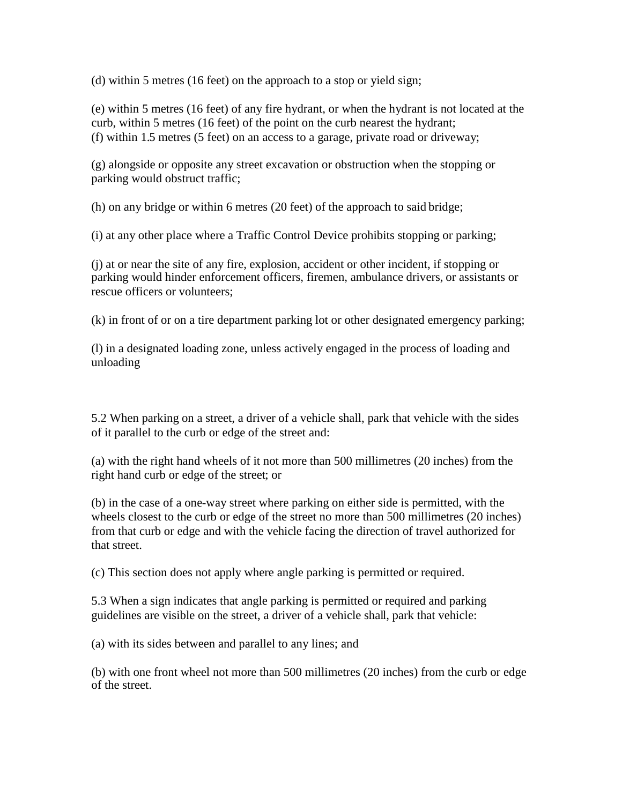(d) within 5 metres (16 feet) on the approach to a stop or yield sign;

(e) within 5 metres (16 feet) of any fire hydrant, or when the hydrant is not located at the curb, within 5 metres (16 feet) of the point on the curb nearest the hydrant; (f) within 1.5 metres (5 feet) on an access to a garage, private road or driveway;

(g) alongside or opposite any street excavation or obstruction when the stopping or parking would obstruct traffic;

(h) on any bridge or within 6 metres (20 feet) of the approach to said bridge;

(i) at any other place where a Traffic Control Device prohibits stopping or parking;

(j) at or near the site of any fire, explosion, accident or other incident, if stopping or parking would hinder enforcement officers, firemen, ambulance drivers, or assistants or rescue officers or volunteers;

(k) in front of or on a tire department parking lot or other designated emergency parking;

(l) in a designated loading zone, unless actively engaged in the process of loading and unloading

5.2 When parking on a street, a driver of a vehicle shall, park that vehicle with the sides of it parallel to the curb or edge of the street and:

(a) with the right hand wheels of it not more than 500 millimetres (20 inches) from the right hand curb or edge of the street; or

(b) in the case of a one-way street where parking on either side is permitted, with the wheels closest to the curb or edge of the street no more than 500 millimetres (20 inches) from that curb or edge and with the vehicle facing the direction of travel authorized for that street.

(c) This section does not apply where angle parking is permitted or required.

5.3 When a sign indicates that angle parking is permitted or required and parking guidelines are visible on the street, a driver of a vehicle shall, park that vehicle:

(a) with its sides between and parallel to any lines; and

(b) with one front wheel not more than 500 millimetres (20 inches) from the curb or edge of the street.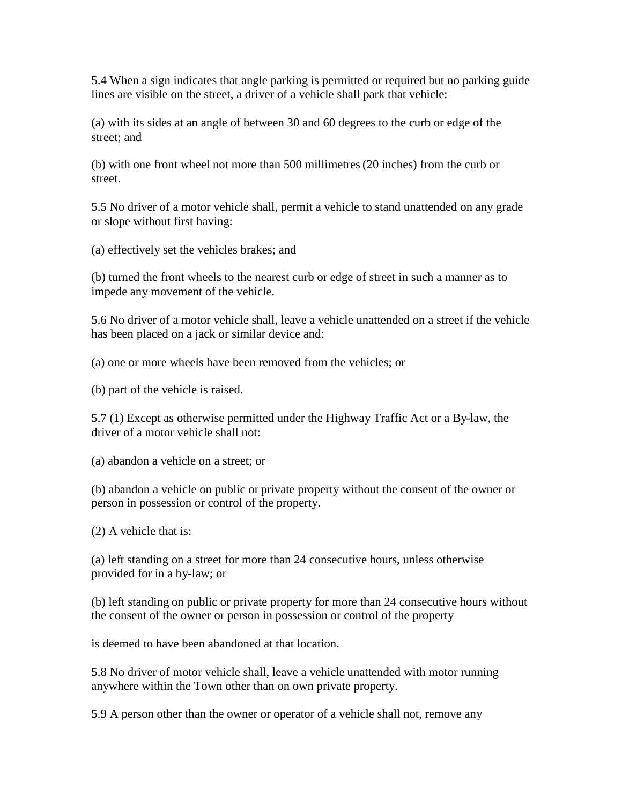5.4 When a sign indicates that angle parking is permitted or required but no parking guide lines are visible on the street, a driver of a vehicle shall park that vehicle:

(a) with its sides at an angle of between 30 and 60 degrees to the curb or edge of the street; and

(b) with one front wheel not more than 500 millimetres(20 inches) from the curb or street.

5.5 No driver of a motor vehicle shall, permit a vehicle to stand unattended on any grade or slope without first having:

(a) effectively set the vehicles brakes; and

(b) turned the front wheels to the nearest curb or edge of street in such a manner as to impede any movement of the vehicle.

5.6 No driver of a motor vehicle shall, leave a vehicle unattended on a street if the vehicle has been placed on a jack or similar device and:

(a) one or more wheels have been removed from the vehicles; or

(b) part of the vehicle is raised.

5.7 (1) Except as otherwise permitted under the Highway Traffic Act or a By-law, the driver of a motor vehicle shall not:

(a) abandon a vehicle on a street; or

(b) abandon a vehicle on public or private property without the consent of the owner or person in possession or control of the property.

(2) A vehicle that is:

(a) left standing on a street for more than 24 consecutive hours, unless otherwise provided for in a by-law; or

(b) left standing on public or private property for more than 24 consecutive hours without the consent of the owner or person in possession or control of the property

is deemed to have been abandoned at that location.

5.8 No driver of motor vehicle shall, leave a vehicle unattended with motor running anywhere within the Town other than on own private property.

5.9 A person other than the owner or operator of a vehicle shall not, remove any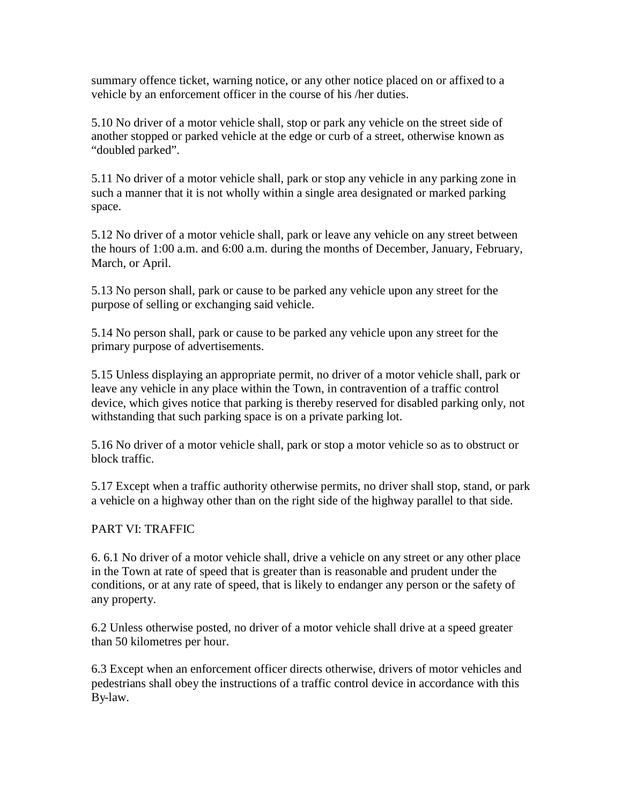summary offence ticket, warning notice, or any other notice placed on or affixed to a vehicle by an enforcement officer in the course of his /her duties.

5.10 No driver of a motor vehicle shall, stop or park any vehicle on the street side of another stopped or parked vehicle at the edge or curb of a street, otherwise known as "doubled parked".

5.11 No driver of a motor vehicle shall, park or stop any vehicle in any parking zone in such a manner that it is not wholly within a single area designated or marked parking space.

5.12 No driver of a motor vehicle shall, park or leave any vehicle on any street between the hours of 1:00 a.m. and 6:00 a.m. during the months of December, January, February, March, or April.

5.13 No person shall, park or cause to be parked any vehicle upon any street for the purpose of selling or exchanging said vehicle.

5.14 No person shall, park or cause to be parked any vehicle upon any street for the primary purpose of advertisements.

5.15 Unless displaying an appropriate permit, no driver of a motor vehicle shall, park or leave any vehicle in any place within the Town, in contravention of a traffic control device, which gives notice that parking is thereby reserved for disabled parking only, not withstanding that such parking space is on a private parking lot.

5.16 No driver of a motor vehicle shall, park or stop a motor vehicle so as to obstruct or block traffic.

5.17 Except when a traffic authority otherwise permits, no driver shall stop, stand, or park a vehicle on a highway other than on the right side of the highway parallel to that side.

## PART VI: TRAFFIC

6. 6.1 No driver of a motor vehicle shall, drive a vehicle on any street or any other place in the Town at rate of speed that is greater than is reasonable and prudent under the conditions, or at any rate of speed, that is likely to endanger any person or the safety of any property.

6.2 Unless otherwise posted, no driver of a motor vehicle shall drive at a speed greater than 50 kilometres per hour.

6.3 Except when an enforcement officer directs otherwise, drivers of motor vehicles and pedestrians shall obey the instructions of a traffic control device in accordance with this By-law.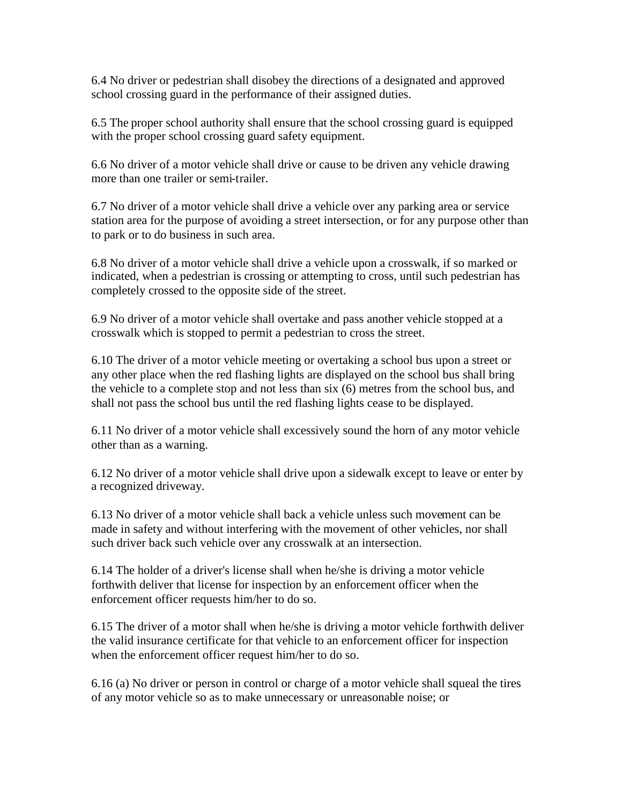6.4 No driver or pedestrian shall disobey the directions of a designated and approved school crossing guard in the performance of their assigned duties.

6.5 The proper school authority shall ensure that the school crossing guard is equipped with the proper school crossing guard safety equipment.

6.6 No driver of a motor vehicle shall drive or cause to be driven any vehicle drawing more than one trailer or semi-trailer.

6.7 No driver of a motor vehicle shall drive a vehicle over any parking area or service station area for the purpose of avoiding a street intersection, or for any purpose other than to park or to do business in such area.

6.8 No driver of a motor vehicle shall drive a vehicle upon a crosswalk, if so marked or indicated, when a pedestrian is crossing or attempting to cross, until such pedestrian has completely crossed to the opposite side of the street.

6.9 No driver of a motor vehicle shall overtake and pass another vehicle stopped at a crosswalk which is stopped to permit a pedestrian to cross the street.

6.10 The driver of a motor vehicle meeting or overtaking a school bus upon a street or any other place when the red flashing lights are displayed on the school bus shall bring the vehicle to a complete stop and not less than six (6) metres from the school bus, and shall not pass the school bus until the red flashing lights cease to be displayed.

6.11 No driver of a motor vehicle shall excessively sound the horn of any motor vehicle other than as a warning.

6.12 No driver of a motor vehicle shall drive upon a sidewalk except to leave or enter by a recognized driveway.

6.13 No driver of a motor vehicle shall back a vehicle unless such movement can be made in safety and without interfering with the movement of other vehicles, nor shall such driver back such vehicle over any crosswalk at an intersection.

6.14 The holder of a driver's license shall when he/she is driving a motor vehicle forthwith deliver that license for inspection by an enforcement officer when the enforcement officer requests him/her to do so.

6.15 The driver of a motor shall when he/she is driving a motor vehicle forthwith deliver the valid insurance certificate for that vehicle to an enforcement officer for inspection when the enforcement officer request him/her to do so.

6.16 (a) No driver or person in control or charge of a motor vehicle shall squeal the tires of any motor vehicle so as to make unnecessary or unreasonable noise; or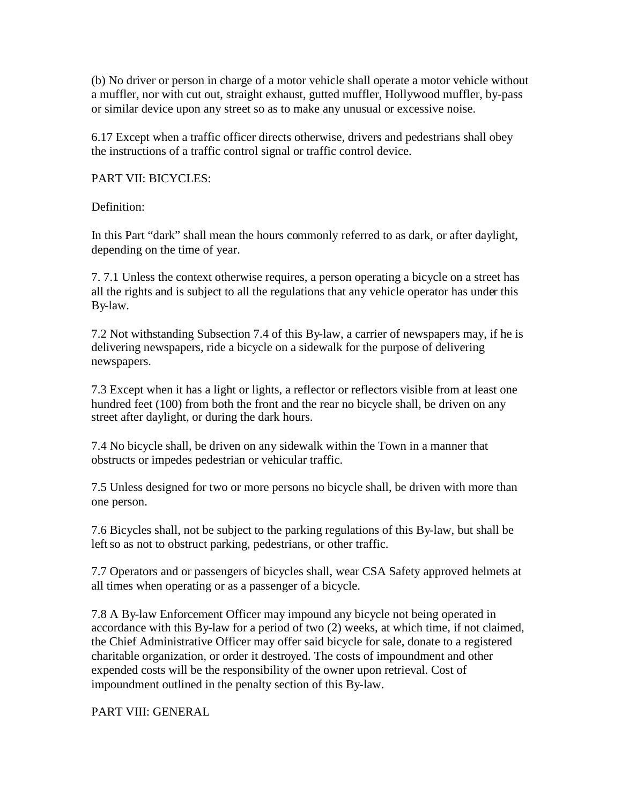(b) No driver or person in charge of a motor vehicle shall operate a motor vehicle without a muffler, nor with cut out, straight exhaust, gutted muffler, Hollywood muffler, by-pass or similar device upon any street so as to make any unusual or excessive noise.

6.17 Except when a traffic officer directs otherwise, drivers and pedestrians shall obey the instructions of a traffic control signal or traffic control device.

#### PART VII: BICYCLES:

Definition:

In this Part "dark" shall mean the hours commonly referred to as dark, or after daylight, depending on the time of year.

7. 7.1 Unless the context otherwise requires, a person operating a bicycle on a street has all the rights and is subject to all the regulations that any vehicle operator has under this By-law.

7.2 Not withstanding Subsection 7.4 of this By-law, a carrier of newspapers may, if he is delivering newspapers, ride a bicycle on a sidewalk for the purpose of delivering newspapers.

7.3 Except when it has a light or lights, a reflector or reflectors visible from at least one hundred feet (100) from both the front and the rear no bicycle shall, be driven on any street after daylight, or during the dark hours.

7.4 No bicycle shall, be driven on any sidewalk within the Town in a manner that obstructs or impedes pedestrian or vehicular traffic.

7.5 Unless designed for two or more persons no bicycle shall, be driven with more than one person.

7.6 Bicycles shall, not be subject to the parking regulations of this By-law, but shall be left so as not to obstruct parking, pedestrians, or other traffic.

7.7 Operators and or passengers of bicycles shall, wear CSA Safety approved helmets at all times when operating or as a passenger of a bicycle.

7.8 A By-law Enforcement Officer may impound any bicycle not being operated in accordance with this By-law for a period of two (2) weeks, at which time, if not claimed, the Chief Administrative Officer may offer said bicycle for sale, donate to a registered charitable organization, or order it destroyed. The costs of impoundment and other expended costs will be the responsibility of the owner upon retrieval. Cost of impoundment outlined in the penalty section of this By-law.

PART VIII: GENERAL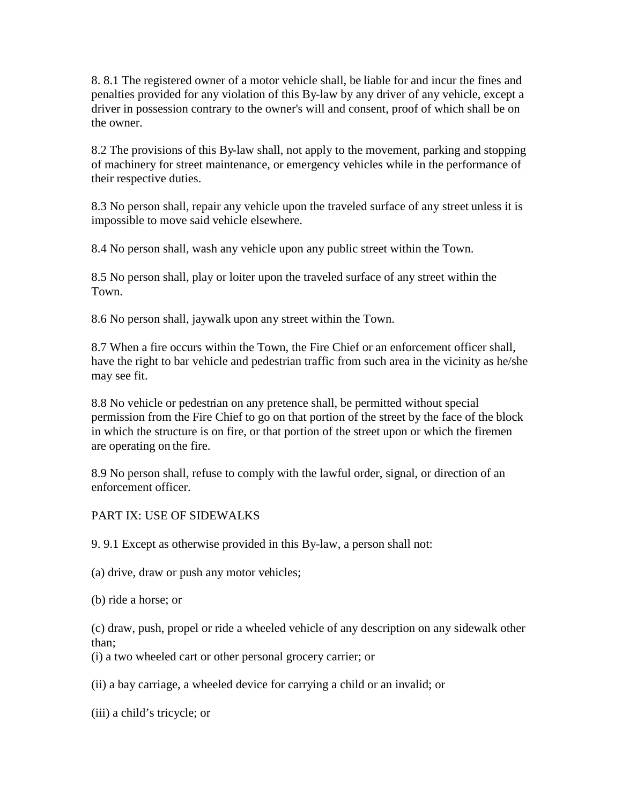8. 8.1 The registered owner of a motor vehicle shall, be liable for and incur the fines and penalties provided for any violation of this By-law by any driver of any vehicle, except a driver in possession contrary to the owner's will and consent, proof of which shall be on the owner.

8.2 The provisions of this By-law shall, not apply to the movement, parking and stopping of machinery for street maintenance, or emergency vehicles while in the performance of their respective duties.

8.3 No person shall, repair any vehicle upon the traveled surface of any street unless it is impossible to move said vehicle elsewhere.

8.4 No person shall, wash any vehicle upon any public street within the Town.

8.5 No person shall, play or loiter upon the traveled surface of any street within the Town.

8.6 No person shall, jaywalk upon any street within the Town.

8.7 When a fire occurs within the Town, the Fire Chief or an enforcement officer shall, have the right to bar vehicle and pedestrian traffic from such area in the vicinity as he/she may see fit.

8.8 No vehicle or pedestrian on any pretence shall, be permitted without special permission from the Fire Chief to go on that portion of the street by the face of the block in which the structure is on fire, or that portion of the street upon or which the firemen are operating on the fire.

8.9 No person shall, refuse to comply with the lawful order, signal, or direction of an enforcement officer.

#### PART IX: USE OF SIDEWALKS

9. 9.1 Except as otherwise provided in this By-law, a person shall not:

(a) drive, draw or push any motor vehicles;

(b) ride a horse; or

(c) draw, push, propel or ride a wheeled vehicle of any description on any sidewalk other than;

(i) a two wheeled cart or other personal grocery carrier; or

(ii) a bay carriage, a wheeled device for carrying a child or an invalid; or

(iii) a child's tricycle; or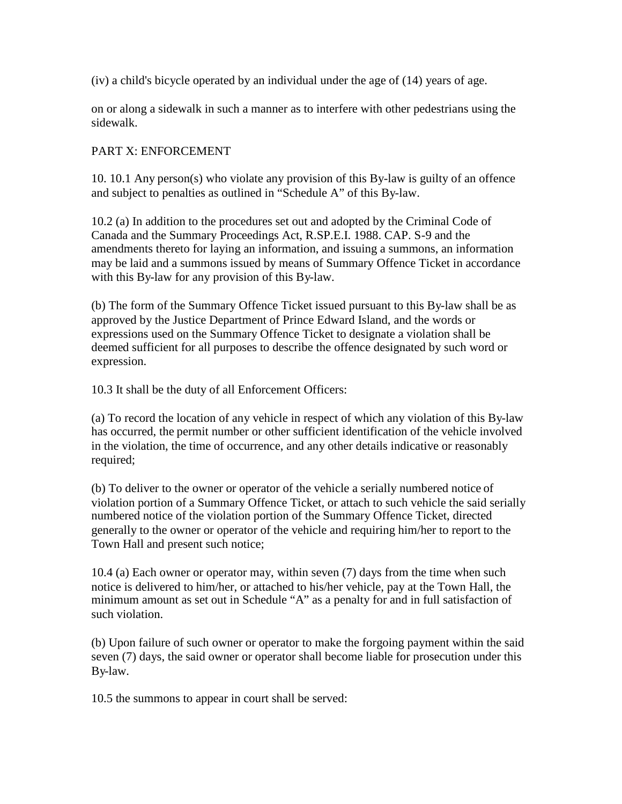(iv) a child's bicycle operated by an individual under the age of (14) years of age.

on or along a sidewalk in such a manner as to interfere with other pedestrians using the sidewalk.

#### PART X: ENFORCEMENT

10. 10.1 Any person(s) who violate any provision of this By-law is guilty of an offence and subject to penalties as outlined in "Schedule A" of this By-law.

10.2 (a) In addition to the procedures set out and adopted by the Criminal Code of Canada and the Summary Proceedings Act, R.SP.E.I. 1988. CAP. S-9 and the amendments thereto for laying an information, and issuing a summons, an information may be laid and a summons issued by means of Summary Offence Ticket in accordance with this By-law for any provision of this By-law.

(b) The form of the Summary Offence Ticket issued pursuant to this By-law shall be as approved by the Justice Department of Prince Edward Island, and the words or expressions used on the Summary Offence Ticket to designate a violation shall be deemed sufficient for all purposes to describe the offence designated by such word or expression.

10.3 It shall be the duty of all Enforcement Officers:

(a) To record the location of any vehicle in respect of which any violation of this By-law has occurred, the permit number or other sufficient identification of the vehicle involved in the violation, the time of occurrence, and any other details indicative or reasonably required;

(b) To deliver to the owner or operator of the vehicle a serially numbered notice of violation portion of a Summary Offence Ticket, or attach to such vehicle the said serially numbered notice of the violation portion of the Summary Offence Ticket, directed generally to the owner or operator of the vehicle and requiring him/her to report to the Town Hall and present such notice;

10.4 (a) Each owner or operator may, within seven (7) days from the time when such notice is delivered to him/her, or attached to his/her vehicle, pay at the Town Hall, the minimum amount as set out in Schedule "A" as a penalty for and in full satisfaction of such violation.

(b) Upon failure of such owner or operator to make the forgoing payment within the said seven (7) days, the said owner or operator shall become liable for prosecution under this By-law.

10.5 the summons to appear in court shall be served: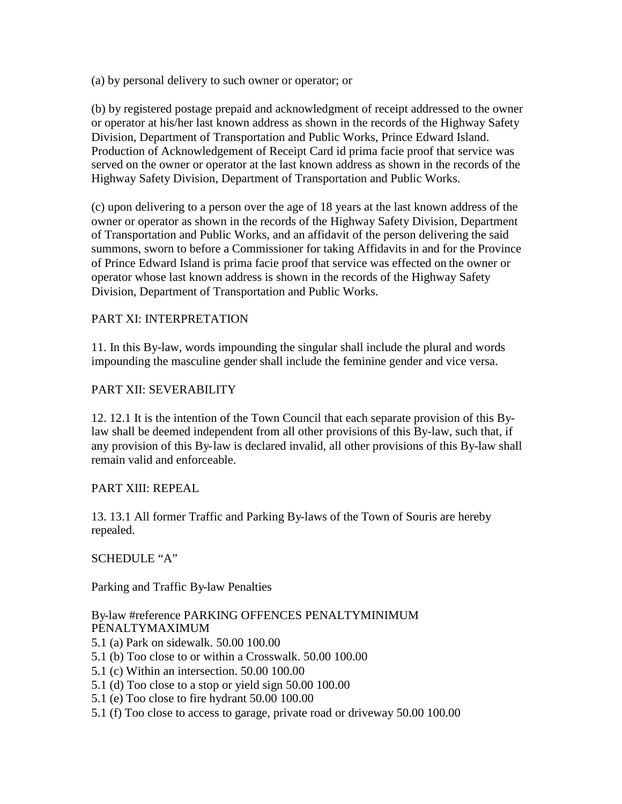(a) by personal delivery to such owner or operator; or

(b) by registered postage prepaid and acknowledgment of receipt addressed to the owner or operator at his/her last known address as shown in the records of the Highway Safety Division, Department of Transportation and Public Works, Prince Edward Island. Production of Acknowledgement of Receipt Card id prima facie proof that service was served on the owner or operator at the last known address as shown in the records of the Highway Safety Division, Department of Transportation and Public Works.

(c) upon delivering to a person over the age of 18 years at the last known address of the owner or operator as shown in the records of the Highway Safety Division, Department of Transportation and Public Works, and an affidavit of the person delivering the said summons, sworn to before a Commissioner for taking Affidavits in and for the Province of Prince Edward Island is prima facie proof that service was effected on the owner or operator whose last known address is shown in the records of the Highway Safety Division, Department of Transportation and Public Works.

## PART XI: INTERPRETATION

11. In this By-law, words impounding the singular shall include the plural and words impounding the masculine gender shall include the feminine gender and vice versa.

## PART XII: SEVERABILITY

12. 12.1 It is the intention of the Town Council that each separate provision of this Bylaw shall be deemed independent from all other provisions of this By-law, such that, if any provision of this By-law is declared invalid, all other provisions of this By-law shall remain valid and enforceable.

## PART XIII: REPEAL

13. 13.1 All former Traffic and Parking By-laws of the Town of Souris are hereby repealed.

## SCHEDULE "A"

Parking and Traffic By-law Penalties

## By-law #reference PARKING OFFENCES PENALTYMINIMUM PENALTYMAXIMUM

- 5.1 (a) Park on sidewalk. 50.00 100.00
- 5.1 (b) Too close to or within a Crosswalk. 50.00 100.00
- 5.1 (c) Within an intersection. 50.00 100.00
- 5.1 (d) Too close to a stop or yield sign 50.00 100.00
- 5.1 (e) Too close to fire hydrant 50.00 100.00
- 5.1 (f) Too close to access to garage, private road or driveway 50.00 100.00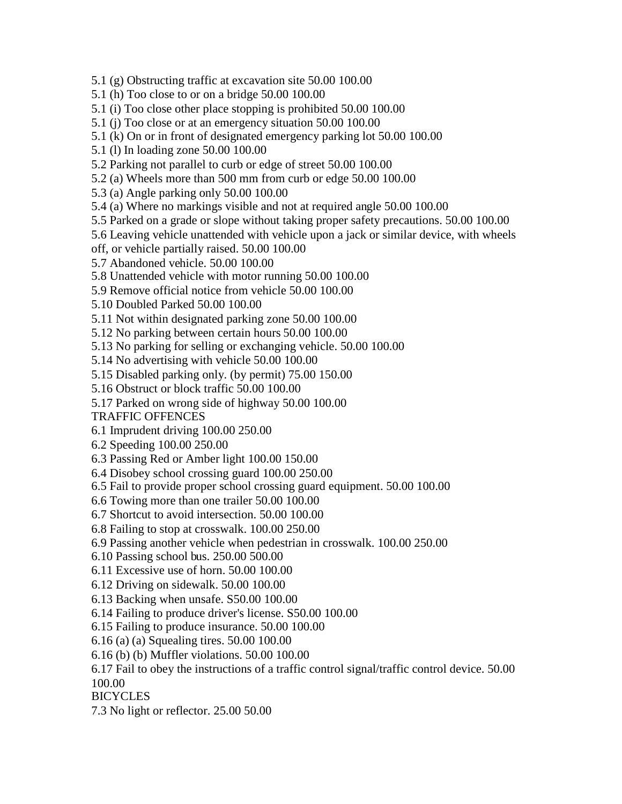5.1 (g) Obstructing traffic at excavation site 50.00 100.00

5.1 (h) Too close to or on a bridge 50.00 100.00

5.1 (i) Too close other place stopping is prohibited 50.00 100.00

5.1 (j) Too close or at an emergency situation 50.00 100.00

5.1 (k) On or in front of designated emergency parking lot 50.00 100.00

5.1 (l) In loading zone 50.00 100.00

5.2 Parking not parallel to curb or edge of street 50.00 100.00

5.2 (a) Wheels more than 500 mm from curb or edge 50.00 100.00

5.3 (a) Angle parking only 50.00 100.00

5.4 (a) Where no markings visible and not at required angle 50.00 100.00

5.5 Parked on a grade or slope without taking proper safety precautions. 50.00 100.00

5.6 Leaving vehicle unattended with vehicle upon a jack or similar device, with wheels

off, or vehicle partially raised. 50.00 100.00

5.7 Abandoned vehicle. 50.00 100.00

5.8 Unattended vehicle with motor running 50.00 100.00

5.9 Remove official notice from vehicle 50.00 100.00

5.10 Doubled Parked 50.00 100.00

5.11 Not within designated parking zone 50.00 100.00

5.12 No parking between certain hours 50.00 100.00

5.13 No parking for selling or exchanging vehicle. 50.00 100.00

5.14 No advertising with vehicle 50.00 100.00

5.15 Disabled parking only. (by permit) 75.00 150.00

5.16 Obstruct or block traffic 50.00 100.00

5.17 Parked on wrong side of highway 50.00 100.00

TRAFFIC OFFENCES

6.1 Imprudent driving 100.00 250.00

6.2 Speeding 100.00 250.00

6.3 Passing Red or Amber light 100.00 150.00

6.4 Disobey school crossing guard 100.00 250.00

6.5 Fail to provide proper school crossing guard equipment. 50.00 100.00

6.6 Towing more than one trailer 50.00 100.00

6.7 Shortcut to avoid intersection. 50.00 100.00

6.8 Failing to stop at crosswalk. 100.00 250.00

6.9 Passing another vehicle when pedestrian in crosswalk. 100.00 250.00

6.10 Passing school bus. 250.00 500.00

6.11 Excessive use of horn. 50.00 100.00

6.12 Driving on sidewalk. 50.00 100.00

6.13 Backing when unsafe. S50.00 100.00

6.14 Failing to produce driver's license. S50.00 100.00

6.15 Failing to produce insurance. 50.00 100.00

6.16 (a) (a) Squealing tires. 50.00 100.00

6.16 (b) (b) Muffler violations. 50.00 100.00

6.17 Fail to obey the instructions of a traffic control signal/traffic control device. 50.00

100.00

**BICYCLES** 

7.3 No light or reflector. 25.00 50.00